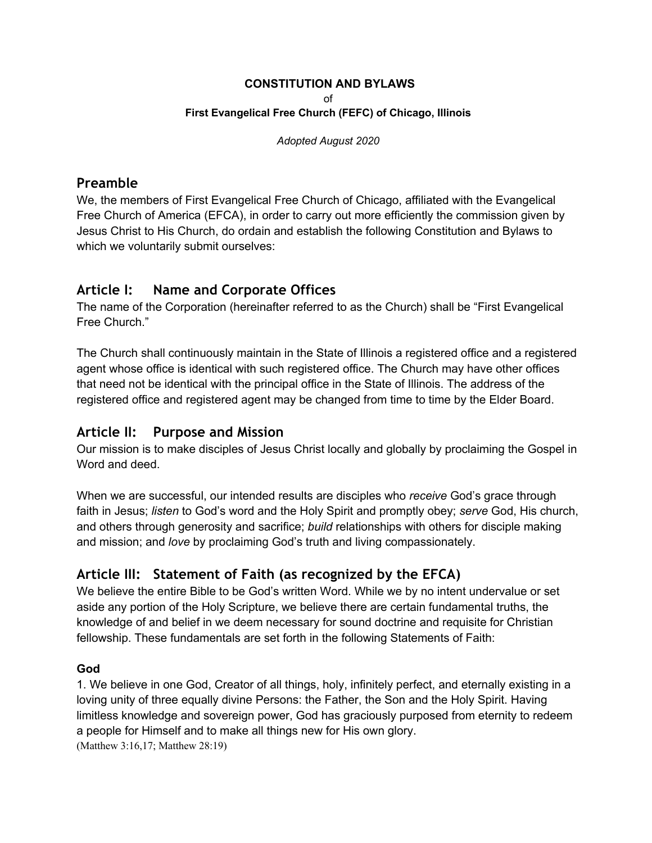#### **CONSTITUTION AND BYLAWS**

of

#### **First Evangelical Free Church (FEFC) of Chicago, Illinois**

*Adopted August 2020*

### **Preamble**

We, the members of First Evangelical Free Church of Chicago, affiliated with the Evangelical Free Church of America (EFCA), in order to carry out more efficiently the commission given by Jesus Christ to His Church, do ordain and establish the following Constitution and Bylaws to which we voluntarily submit ourselves:

# **Article I: Name and Corporate Offices**

The name of the Corporation (hereinafter referred to as the Church) shall be "First Evangelical Free Church."

The Church shall continuously maintain in the State of Illinois a registered office and a registered agent whose office is identical with such registered office. The Church may have other offices that need not be identical with the principal office in the State of Illinois. The address of the registered office and registered agent may be changed from time to time by the Elder Board.

# **Article II: Purpose and Mission**

Our mission is to make disciples of Jesus Christ locally and globally by proclaiming the Gospel in Word and deed.

When we are successful, our intended results are disciples who *receive* God's grace through faith in Jesus; *listen* to God's word and the Holy Spirit and promptly obey; *serve* God, His church, and others through generosity and sacrifice; *build* relationships with others for disciple making and mission; and *love* by proclaiming God's truth and living compassionately.

# **Article III: Statement of Faith (as recognized by the EFCA)**

We believe the entire Bible to be God's written Word. While we by no intent undervalue or set aside any portion of the Holy Scripture, we believe there are certain fundamental truths, the knowledge of and belief in we deem necessary for sound doctrine and requisite for Christian fellowship. These fundamentals are set forth in the following Statements of Faith:

### **God**

1. We believe in one God, Creator of all things, holy, infinitely perfect, and eternally existing in a loving unity of three equally divine Persons: the Father, the Son and the Holy Spirit. Having limitless knowledge and sovereign power, God has graciously purposed from eternity to redeem a people for Himself and to make all things new for His own glory. (Matthew 3:16,17; Matthew 28:19)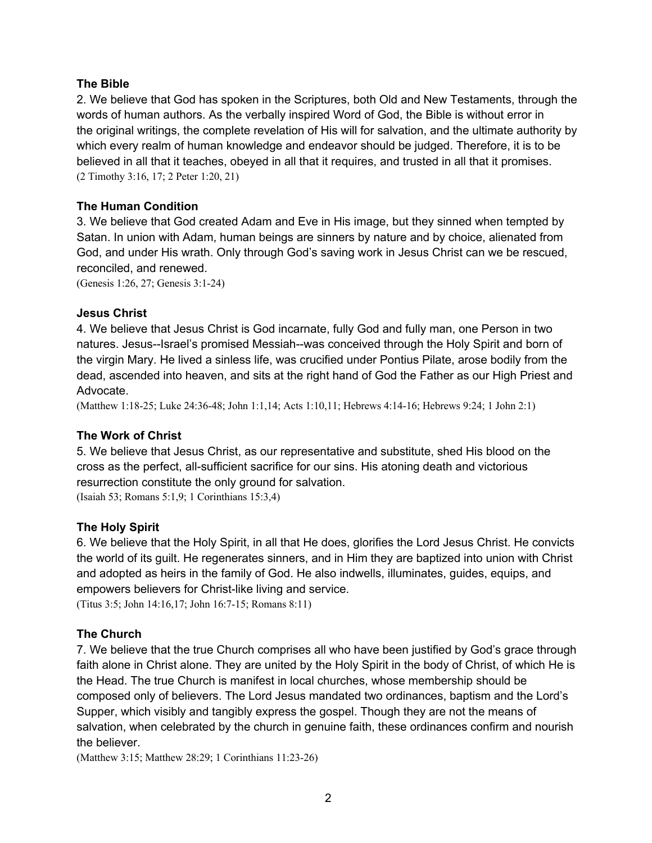#### **The Bible**

2. We believe that God has spoken in the Scriptures, both Old and New Testaments, through the words of human authors. As the verbally inspired Word of God, the Bible is without error in the original writings, the complete revelation of His will for salvation, and the ultimate authority by which every realm of human knowledge and endeavor should be judged. Therefore, it is to be believed in all that it teaches, obeyed in all that it requires, and trusted in all that it promises. (2 Timothy 3:16, 17; 2 Peter 1:20, 21)

#### **The Human Condition**

3. We believe that God created Adam and Eve in His image, but they sinned when tempted by Satan. In union with Adam, human beings are sinners by nature and by choice, alienated from God, and under His wrath. Only through God's saving work in Jesus Christ can we be rescued, reconciled, and renewed.

(Genesis 1:26, 27; Genesis 3:1-24)

#### **Jesus Christ**

4. We believe that Jesus Christ is God incarnate, fully God and fully man, one Person in two natures. Jesus--Israel's promised Messiah--was conceived through the Holy Spirit and born of the virgin Mary. He lived a sinless life, was crucified under Pontius Pilate, arose bodily from the dead, ascended into heaven, and sits at the right hand of God the Father as our High Priest and Advocate.

(Matthew 1:18-25; Luke 24:36-48; John 1:1,14; Acts 1:10,11; Hebrews 4:14-16; Hebrews 9:24; 1 John 2:1)

#### **The Work of Christ**

5. We believe that Jesus Christ, as our representative and substitute, shed His blood on the cross as the perfect, all-sufficient sacrifice for our sins. His atoning death and victorious resurrection constitute the only ground for salvation.

(Isaiah 53; Romans 5:1,9; 1 Corinthians 15:3,4)

#### **The Holy Spirit**

6. We believe that the Holy Spirit, in all that He does, glorifies the Lord Jesus Christ. He convicts the world of its guilt. He regenerates sinners, and in Him they are baptized into union with Christ and adopted as heirs in the family of God. He also indwells, illuminates, guides, equips, and empowers believers for Christ-like living and service.

(Titus 3:5; John 14:16,17; John 16:7-15; Romans 8:11)

#### **The Church**

7. We believe that the true Church comprises all who have been justified by God's grace through faith alone in Christ alone. They are united by the Holy Spirit in the body of Christ, of which He is the Head. The true Church is manifest in local churches, whose membership should be composed only of believers. The Lord Jesus mandated two ordinances, baptism and the Lord's Supper, which visibly and tangibly express the gospel. Though they are not the means of salvation, when celebrated by the church in genuine faith, these ordinances confirm and nourish the believer.

(Matthew 3:15; Matthew 28:29; 1 Corinthians 11:23-26)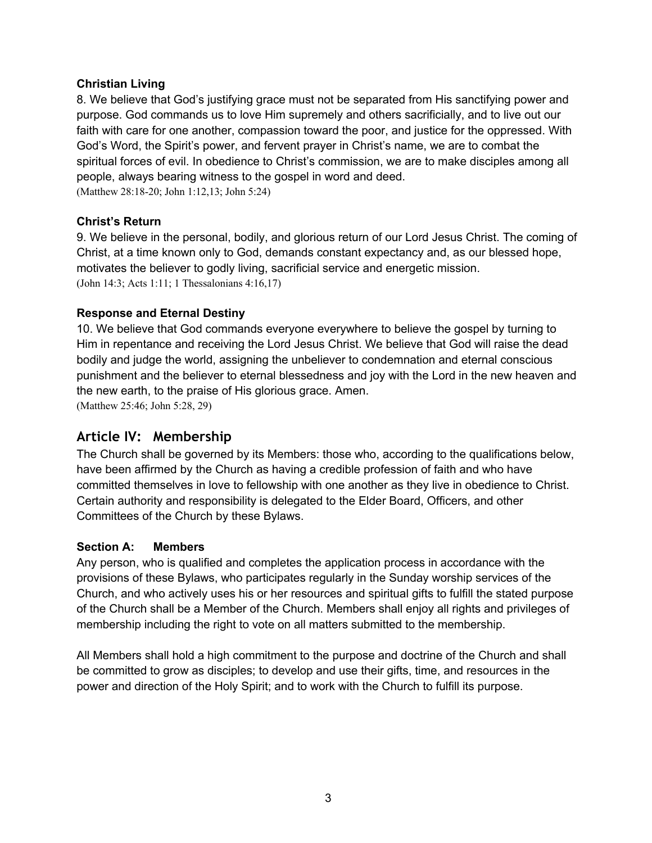#### **Christian Living**

8. We believe that God's justifying grace must not be separated from His sanctifying power and purpose. God commands us to love Him supremely and others sacrificially, and to live out our faith with care for one another, compassion toward the poor, and justice for the oppressed. With God's Word, the Spirit's power, and fervent prayer in Christ's name, we are to combat the spiritual forces of evil. In obedience to Christ's commission, we are to make disciples among all people, always bearing witness to the gospel in word and deed. (Matthew 28:18-20; John 1:12,13; John 5:24)

#### **Christ's Return**

9. We believe in the personal, bodily, and glorious return of our Lord Jesus Christ. The coming of Christ, at a time known only to God, demands constant expectancy and, as our blessed hope, motivates the believer to godly living, sacrificial service and energetic mission. (John 14:3; Acts 1:11; 1 Thessalonians 4:16,17)

#### **Response and Eternal Destiny**

10. We believe that God commands everyone everywhere to believe the gospel by turning to Him in repentance and receiving the Lord Jesus Christ. We believe that God will raise the dead bodily and judge the world, assigning the unbeliever to condemnation and eternal conscious punishment and the believer to eternal blessedness and joy with the Lord in the new heaven and the new earth, to the praise of His glorious grace. Amen. (Matthew 25:46; John 5:28, 29)

# **Article IV: Membership**

The Church shall be governed by its Members: those who, according to the qualifications below, have been affirmed by the Church as having a credible profession of faith and who have committed themselves in love to fellowship with one another as they live in obedience to Christ. Certain authority and responsibility is delegated to the Elder Board, Officers, and other Committees of the Church by these Bylaws.

#### **Section A: Members**

Any person, who is qualified and completes the application process in accordance with the provisions of these Bylaws, who participates regularly in the Sunday worship services of the Church, and who actively uses his or her resources and spiritual gifts to fulfill the stated purpose of the Church shall be a Member of the Church. Members shall enjoy all rights and privileges of membership including the right to vote on all matters submitted to the membership.

All Members shall hold a high commitment to the purpose and doctrine of the Church and shall be committed to grow as disciples; to develop and use their gifts, time, and resources in the power and direction of the Holy Spirit; and to work with the Church to fulfill its purpose.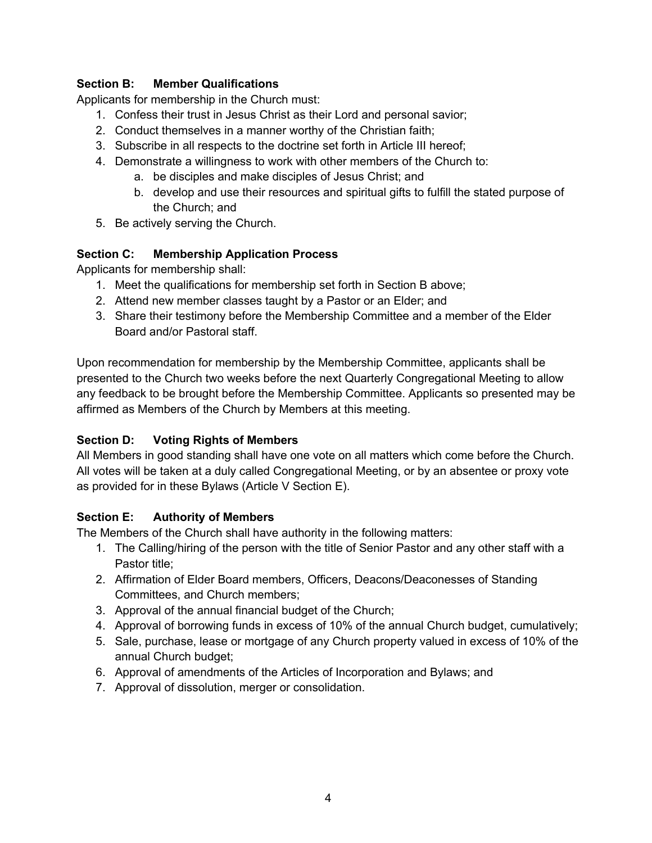### **Section B: Member Qualifications**

Applicants for membership in the Church must:

- 1. Confess their trust in Jesus Christ as their Lord and personal savior;
- 2. Conduct themselves in a manner worthy of the Christian faith;
- 3. Subscribe in all respects to the doctrine set forth in Article III hereof;
- 4. Demonstrate a willingness to work with other members of the Church to:
	- a. be disciples and make disciples of Jesus Christ; and
	- b. develop and use their resources and spiritual gifts to fulfill the stated purpose of the Church; and
- 5. Be actively serving the Church.

### **Section C: Membership Application Process**

Applicants for membership shall:

- 1. Meet the qualifications for membership set forth in Section B above;
- 2. Attend new member classes taught by a Pastor or an Elder; and
- 3. Share their testimony before the Membership Committee and a member of the Elder Board and/or Pastoral staff.

Upon recommendation for membership by the Membership Committee, applicants shall be presented to the Church two weeks before the next Quarterly Congregational Meeting to allow any feedback to be brought before the Membership Committee. Applicants so presented may be affirmed as Members of the Church by Members at this meeting.

# **Section D: Voting Rights of Members**

All Members in good standing shall have one vote on all matters which come before the Church. All votes will be taken at a duly called Congregational Meeting, or by an absentee or proxy vote as provided for in these Bylaws (Article V Section E).

### **Section E: Authority of Members**

The Members of the Church shall have authority in the following matters:

- 1. The Calling/hiring of the person with the title of Senior Pastor and any other staff with a Pastor title;
- 2. Affirmation of Elder Board members, Officers, Deacons/Deaconesses of Standing Committees, and Church members;
- 3. Approval of the annual financial budget of the Church;
- 4. Approval of borrowing funds in excess of 10% of the annual Church budget, cumulatively;
- 5. Sale, purchase, lease or mortgage of any Church property valued in excess of 10% of the annual Church budget;
- 6. Approval of amendments of the Articles of Incorporation and Bylaws; and
- 7. Approval of dissolution, merger or consolidation.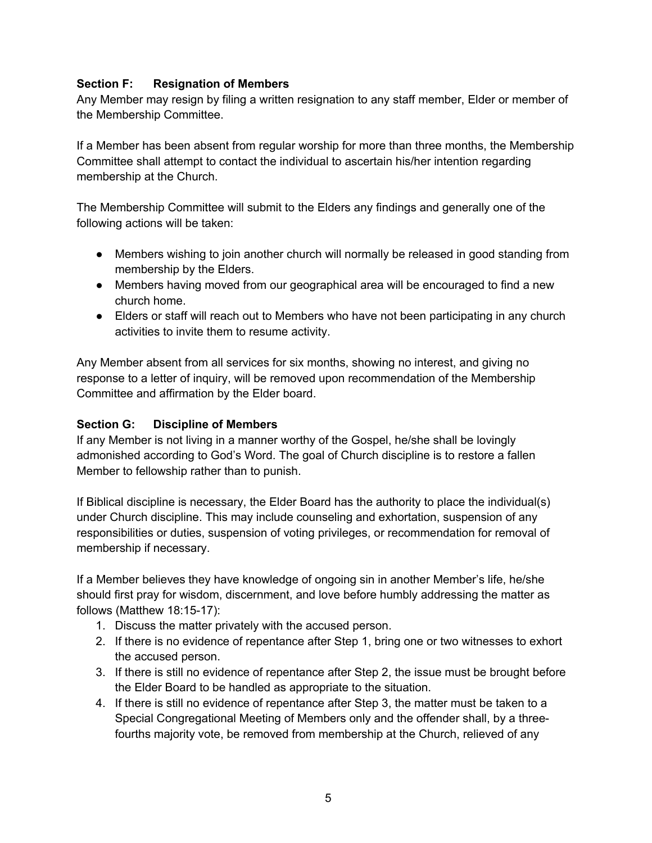### **Section F: Resignation of Members**

Any Member may resign by filing a written resignation to any staff member, Elder or member of the Membership Committee.

If a Member has been absent from regular worship for more than three months, the Membership Committee shall attempt to contact the individual to ascertain his/her intention regarding membership at the Church.

The Membership Committee will submit to the Elders any findings and generally one of the following actions will be taken:

- Members wishing to join another church will normally be released in good standing from membership by the Elders.
- Members having moved from our geographical area will be encouraged to find a new church home.
- Elders or staff will reach out to Members who have not been participating in any church activities to invite them to resume activity.

Any Member absent from all services for six months, showing no interest, and giving no response to a letter of inquiry, will be removed upon recommendation of the Membership Committee and affirmation by the Elder board.

### **Section G: Discipline of Members**

If any Member is not living in a manner worthy of the Gospel, he/she shall be lovingly admonished according to God's Word. The goal of Church discipline is to restore a fallen Member to fellowship rather than to punish.

If Biblical discipline is necessary, the Elder Board has the authority to place the individual(s) under Church discipline. This may include counseling and exhortation, suspension of any responsibilities or duties, suspension of voting privileges, or recommendation for removal of membership if necessary.

If a Member believes they have knowledge of ongoing sin in another Member's life, he/she should first pray for wisdom, discernment, and love before humbly addressing the matter as follows (Matthew 18:15-17):

- 1. Discuss the matter privately with the accused person.
- 2. If there is no evidence of repentance after Step 1, bring one or two witnesses to exhort the accused person.
- 3. If there is still no evidence of repentance after Step 2, the issue must be brought before the Elder Board to be handled as appropriate to the situation.
- 4. If there is still no evidence of repentance after Step 3, the matter must be taken to a Special Congregational Meeting of Members only and the offender shall, by a threefourths majority vote, be removed from membership at the Church, relieved of any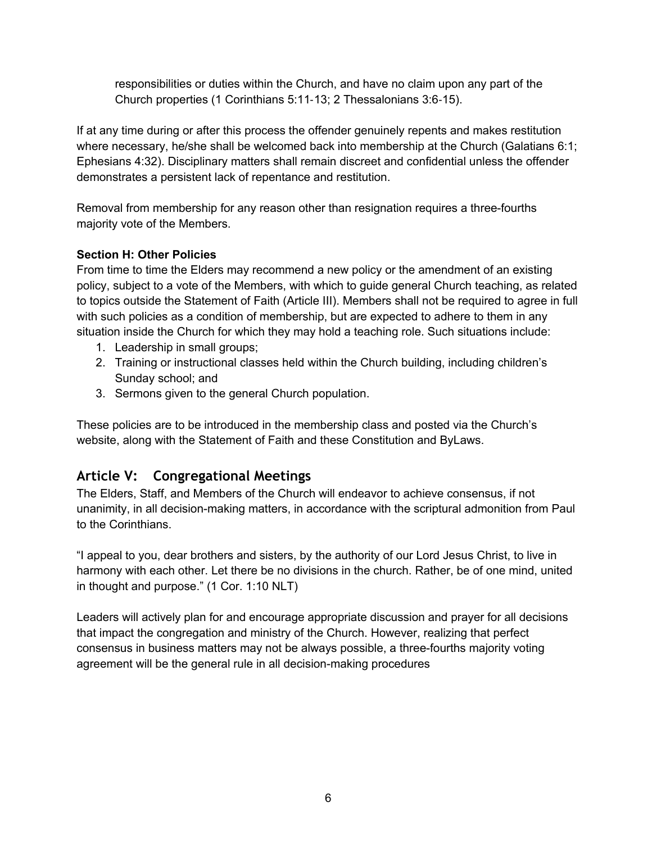responsibilities or duties within the Church, and have no claim upon any part of the Church properties (1 Corinthians 5:11-13; 2 Thessalonians 3:6-15).

If at any time during or after this process the offender genuinely repents and makes restitution where necessary, he/she shall be welcomed back into membership at the Church (Galatians 6:1; Ephesians 4:32). Disciplinary matters shall remain discreet and confidential unless the offender demonstrates a persistent lack of repentance and restitution.

Removal from membership for any reason other than resignation requires a three-fourths majority vote of the Members.

### **Section H: Other Policies**

From time to time the Elders may recommend a new policy or the amendment of an existing policy, subject to a vote of the Members, with which to guide general Church teaching, as related to topics outside the Statement of Faith (Article III). Members shall not be required to agree in full with such policies as a condition of membership, but are expected to adhere to them in any situation inside the Church for which they may hold a teaching role. Such situations include:

- 1. Leadership in small groups;
- 2. Training or instructional classes held within the Church building, including children's Sunday school; and
- 3. Sermons given to the general Church population.

These policies are to be introduced in the membership class and posted via the Church's website, along with the Statement of Faith and these Constitution and ByLaws.

# **Article V: Congregational Meetings**

The Elders, Staff, and Members of the Church will endeavor to achieve consensus, if not unanimity, in all decision-making matters, in accordance with the scriptural admonition from Paul to the Corinthians.

"I appeal to you, dear brothers and sisters, by the authority of our Lord Jesus Christ, to live in harmony with each other. Let there be no divisions in the church. Rather, be of one mind, united in thought and purpose." (1 Cor. 1:10 NLT)

Leaders will actively plan for and encourage appropriate discussion and prayer for all decisions that impact the congregation and ministry of the Church. However, realizing that perfect consensus in business matters may not be always possible, a three-fourths majority voting agreement will be the general rule in all decision-making procedures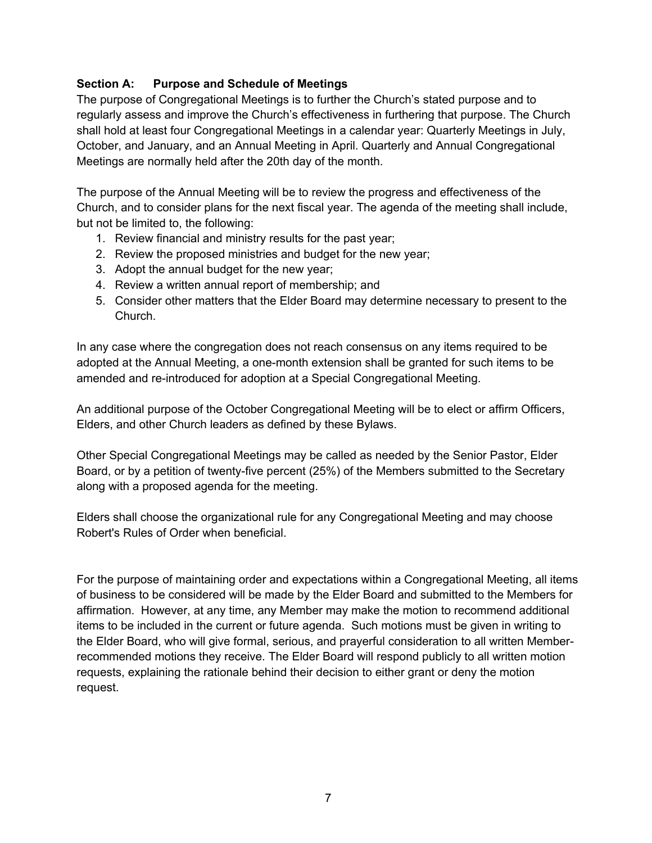### **Section A: Purpose and Schedule of Meetings**

The purpose of Congregational Meetings is to further the Church's stated purpose and to regularly assess and improve the Church's effectiveness in furthering that purpose. The Church shall hold at least four Congregational Meetings in a calendar year: Quarterly Meetings in July, October, and January, and an Annual Meeting in April. Quarterly and Annual Congregational Meetings are normally held after the 20th day of the month.

The purpose of the Annual Meeting will be to review the progress and effectiveness of the Church, and to consider plans for the next fiscal year. The agenda of the meeting shall include, but not be limited to, the following:

- 1. Review financial and ministry results for the past year;
- 2. Review the proposed ministries and budget for the new year;
- 3. Adopt the annual budget for the new year;
- 4. Review a written annual report of membership; and
- 5. Consider other matters that the Elder Board may determine necessary to present to the Church.

In any case where the congregation does not reach consensus on any items required to be adopted at the Annual Meeting, a one-month extension shall be granted for such items to be amended and re-introduced for adoption at a Special Congregational Meeting.

An additional purpose of the October Congregational Meeting will be to elect or affirm Officers, Elders, and other Church leaders as defined by these Bylaws.

Other Special Congregational Meetings may be called as needed by the Senior Pastor, Elder Board, or by a petition of twenty-five percent (25%) of the Members submitted to the Secretary along with a proposed agenda for the meeting.

Elders shall choose the organizational rule for any Congregational Meeting and may choose Robert's Rules of Order when beneficial.

For the purpose of maintaining order and expectations within a Congregational Meeting, all items of business to be considered will be made by the Elder Board and submitted to the Members for affirmation. However, at any time, any Member may make the motion to recommend additional items to be included in the current or future agenda. Such motions must be given in writing to the Elder Board, who will give formal, serious, and prayerful consideration to all written Memberrecommended motions they receive. The Elder Board will respond publicly to all written motion requests, explaining the rationale behind their decision to either grant or deny the motion request.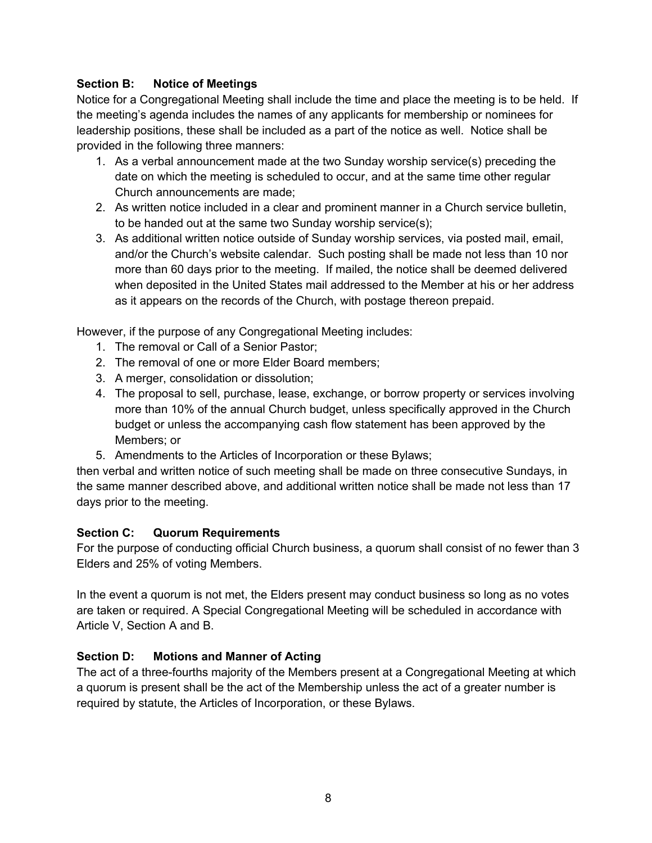### **Section B: Notice of Meetings**

Notice for a Congregational Meeting shall include the time and place the meeting is to be held. If the meeting's agenda includes the names of any applicants for membership or nominees for leadership positions, these shall be included as a part of the notice as well. Notice shall be provided in the following three manners:

- 1. As a verbal announcement made at the two Sunday worship service(s) preceding the date on which the meeting is scheduled to occur, and at the same time other regular Church announcements are made;
- 2. As written notice included in a clear and prominent manner in a Church service bulletin, to be handed out at the same two Sunday worship service(s);
- 3. As additional written notice outside of Sunday worship services, via posted mail, email, and/or the Church's website calendar. Such posting shall be made not less than 10 nor more than 60 days prior to the meeting. If mailed, the notice shall be deemed delivered when deposited in the United States mail addressed to the Member at his or her address as it appears on the records of the Church, with postage thereon prepaid.

However, if the purpose of any Congregational Meeting includes:

- 1. The removal or Call of a Senior Pastor;
- 2. The removal of one or more Elder Board members;
- 3. A merger, consolidation or dissolution;
- 4. The proposal to sell, purchase, lease, exchange, or borrow property or services involving more than 10% of the annual Church budget, unless specifically approved in the Church budget or unless the accompanying cash flow statement has been approved by the Members; or
- 5. Amendments to the Articles of Incorporation or these Bylaws;

then verbal and written notice of such meeting shall be made on three consecutive Sundays, in the same manner described above, and additional written notice shall be made not less than 17 days prior to the meeting.

### **Section C: Quorum Requirements**

For the purpose of conducting official Church business, a quorum shall consist of no fewer than 3 Elders and 25% of voting Members.

In the event a quorum is not met, the Elders present may conduct business so long as no votes are taken or required. A Special Congregational Meeting will be scheduled in accordance with Article V, Section A and B.

### **Section D: Motions and Manner of Acting**

The act of a three-fourths majority of the Members present at a Congregational Meeting at which a quorum is present shall be the act of the Membership unless the act of a greater number is required by statute, the Articles of Incorporation, or these Bylaws.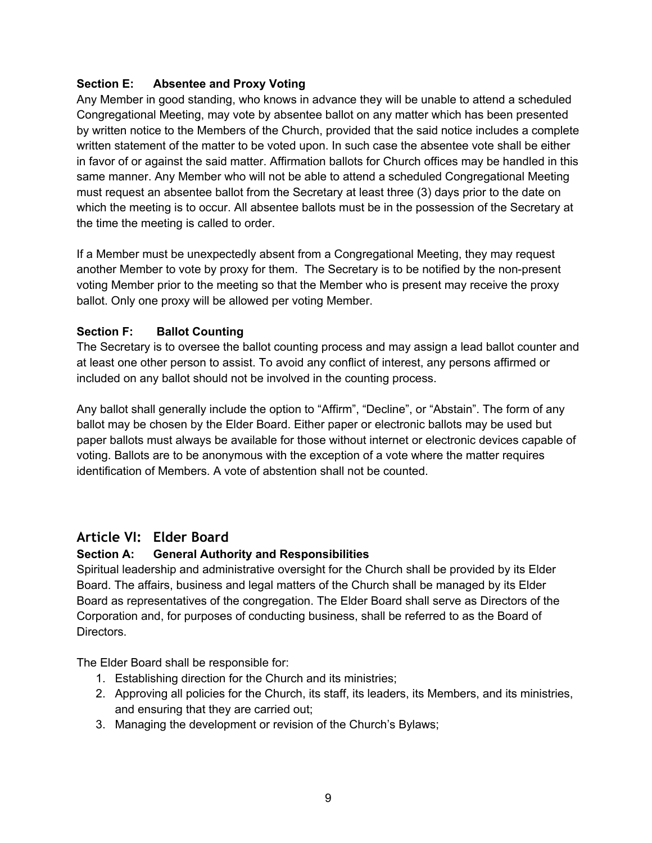### **Section E: Absentee and Proxy Voting**

Any Member in good standing, who knows in advance they will be unable to attend a scheduled Congregational Meeting, may vote by absentee ballot on any matter which has been presented by written notice to the Members of the Church, provided that the said notice includes a complete written statement of the matter to be voted upon. In such case the absentee vote shall be either in favor of or against the said matter. Affirmation ballots for Church offices may be handled in this same manner. Any Member who will not be able to attend a scheduled Congregational Meeting must request an absentee ballot from the Secretary at least three (3) days prior to the date on which the meeting is to occur. All absentee ballots must be in the possession of the Secretary at the time the meeting is called to order.

If a Member must be unexpectedly absent from a Congregational Meeting, they may request another Member to vote by proxy for them. The Secretary is to be notified by the non-present voting Member prior to the meeting so that the Member who is present may receive the proxy ballot. Only one proxy will be allowed per voting Member.

### **Section F: Ballot Counting**

The Secretary is to oversee the ballot counting process and may assign a lead ballot counter and at least one other person to assist. To avoid any conflict of interest, any persons affirmed or included on any ballot should not be involved in the counting process.

Any ballot shall generally include the option to "Affirm", "Decline", or "Abstain". The form of any ballot may be chosen by the Elder Board. Either paper or electronic ballots may be used but paper ballots must always be available for those without internet or electronic devices capable of voting. Ballots are to be anonymous with the exception of a vote where the matter requires identification of Members. A vote of abstention shall not be counted.

# **Article VI: Elder Board**

#### **Section A: General Authority and Responsibilities**

Spiritual leadership and administrative oversight for the Church shall be provided by its Elder Board. The affairs, business and legal matters of the Church shall be managed by its Elder Board as representatives of the congregation. The Elder Board shall serve as Directors of the Corporation and, for purposes of conducting business, shall be referred to as the Board of Directors.

The Elder Board shall be responsible for:

- 1. Establishing direction for the Church and its ministries;
- 2. Approving all policies for the Church, its staff, its leaders, its Members, and its ministries, and ensuring that they are carried out;
- 3. Managing the development or revision of the Church's Bylaws;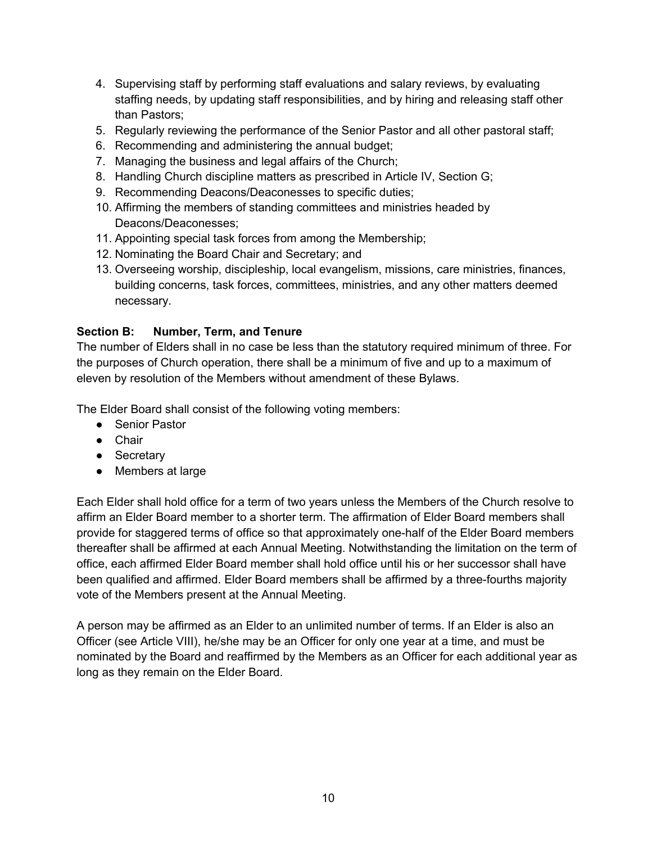- 4. Supervising staff by performing staff evaluations and salary reviews, by evaluating staffing needs, by updating staff responsibilities, and by hiring and releasing staff other than Pastors;
- 5. Regularly reviewing the performance of the Senior Pastor and all other pastoral staff;
- 6. Recommending and administering the annual budget;
- 7. Managing the business and legal affairs of the Church;
- 8. Handling Church discipline matters as prescribed in Article IV, Section G;
- 9. Recommending Deacons/Deaconesses to specific duties;
- 10. Affirming the members of standing committees and ministries headed by Deacons/Deaconesses;
- 11. Appointing special task forces from among the Membership;
- 12. Nominating the Board Chair and Secretary; and
- 13. Overseeing worship, discipleship, local evangelism, missions, care ministries, finances, building concerns, task forces, committees, ministries, and any other matters deemed necessary.

### **Section B: Number, Term, and Tenure**

The number of Elders shall in no case be less than the statutory required minimum of three. For the purposes of Church operation, there shall be a minimum of five and up to a maximum of eleven by resolution of the Members without amendment of these Bylaws.

The Elder Board shall consist of the following voting members:

- Senior Pastor
- Chair
- Secretary
- Members at large

Each Elder shall hold office for a term of two years unless the Members of the Church resolve to affirm an Elder Board member to a shorter term. The affirmation of Elder Board members shall provide for staggered terms of office so that approximately one-half of the Elder Board members thereafter shall be affirmed at each Annual Meeting. Notwithstanding the limitation on the term of office, each affirmed Elder Board member shall hold office until his or her successor shall have been qualified and affirmed. Elder Board members shall be affirmed by a three-fourths majority vote of the Members present at the Annual Meeting.

A person may be affirmed as an Elder to an unlimited number of terms. If an Elder is also an Officer (see Article VIII), he/she may be an Officer for only one year at a time, and must be nominated by the Board and reaffirmed by the Members as an Officer for each additional year as long as they remain on the Elder Board.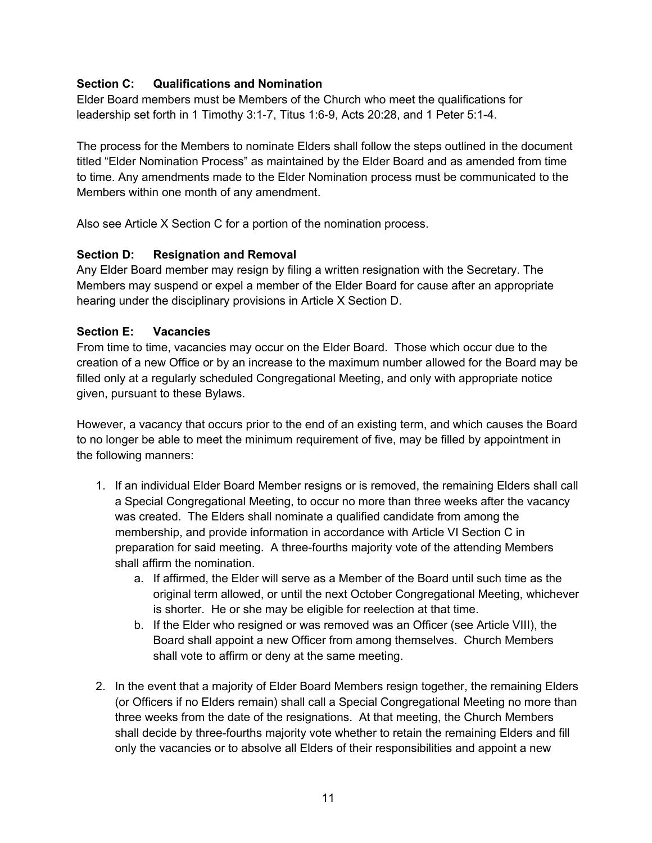### **Section C: Qualifications and Nomination**

Elder Board members must be Members of the Church who meet the qualifications for leadership set forth in 1 Timothy 3:1-7, Titus 1:6-9, Acts 20:28, and 1 Peter 5:1-4.

The process for the Members to nominate Elders shall follow the steps outlined in the document titled "Elder Nomination Process" as maintained by the Elder Board and as amended from time to time. Any amendments made to the Elder Nomination process must be communicated to the Members within one month of any amendment.

Also see Article X Section C for a portion of the nomination process.

### **Section D: Resignation and Removal**

Any Elder Board member may resign by filing a written resignation with the Secretary. The Members may suspend or expel a member of the Elder Board for cause after an appropriate hearing under the disciplinary provisions in Article X Section D.

#### **Section E: Vacancies**

From time to time, vacancies may occur on the Elder Board. Those which occur due to the creation of a new Office or by an increase to the maximum number allowed for the Board may be filled only at a regularly scheduled Congregational Meeting, and only with appropriate notice given, pursuant to these Bylaws.

However, a vacancy that occurs prior to the end of an existing term, and which causes the Board to no longer be able to meet the minimum requirement of five, may be filled by appointment in the following manners:

- 1. If an individual Elder Board Member resigns or is removed, the remaining Elders shall call a Special Congregational Meeting, to occur no more than three weeks after the vacancy was created. The Elders shall nominate a qualified candidate from among the membership, and provide information in accordance with Article VI Section C in preparation for said meeting. A three-fourths majority vote of the attending Members shall affirm the nomination.
	- a. If affirmed, the Elder will serve as a Member of the Board until such time as the original term allowed, or until the next October Congregational Meeting, whichever is shorter. He or she may be eligible for reelection at that time.
	- b. If the Elder who resigned or was removed was an Officer (see Article VIII), the Board shall appoint a new Officer from among themselves. Church Members shall vote to affirm or deny at the same meeting.
- 2. In the event that a majority of Elder Board Members resign together, the remaining Elders (or Officers if no Elders remain) shall call a Special Congregational Meeting no more than three weeks from the date of the resignations. At that meeting, the Church Members shall decide by three-fourths majority vote whether to retain the remaining Elders and fill only the vacancies or to absolve all Elders of their responsibilities and appoint a new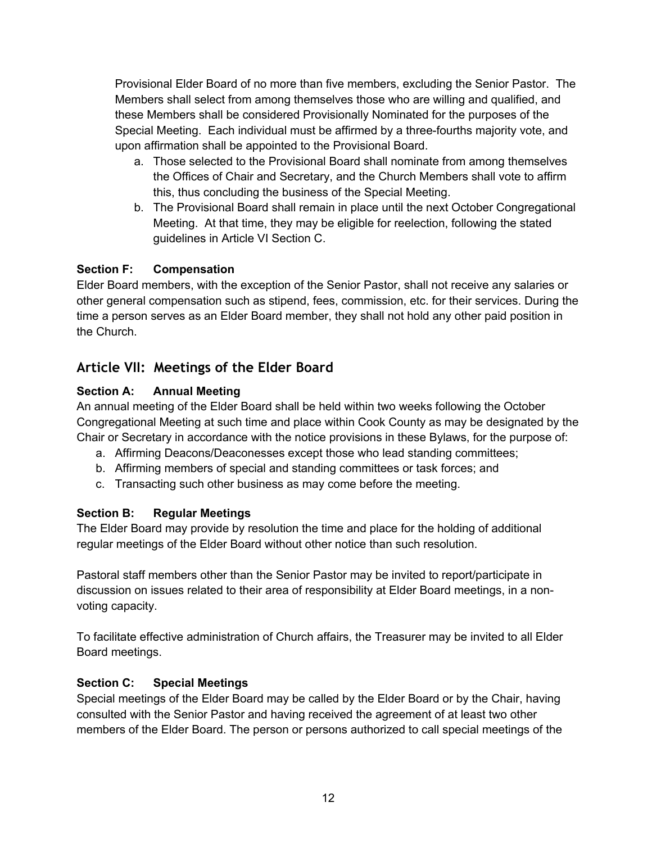Provisional Elder Board of no more than five members, excluding the Senior Pastor. The Members shall select from among themselves those who are willing and qualified, and these Members shall be considered Provisionally Nominated for the purposes of the Special Meeting. Each individual must be affirmed by a three-fourths majority vote, and upon affirmation shall be appointed to the Provisional Board.

- a. Those selected to the Provisional Board shall nominate from among themselves the Offices of Chair and Secretary, and the Church Members shall vote to affirm this, thus concluding the business of the Special Meeting.
- b. The Provisional Board shall remain in place until the next October Congregational Meeting. At that time, they may be eligible for reelection, following the stated guidelines in Article VI Section C.

# **Section F: Compensation**

Elder Board members, with the exception of the Senior Pastor, shall not receive any salaries or other general compensation such as stipend, fees, commission, etc. for their services. During the time a person serves as an Elder Board member, they shall not hold any other paid position in the Church.

# **Article VII: Meetings of the Elder Board**

# **Section A: Annual Meeting**

An annual meeting of the Elder Board shall be held within two weeks following the October Congregational Meeting at such time and place within Cook County as may be designated by the Chair or Secretary in accordance with the notice provisions in these Bylaws, for the purpose of:

- a. Affirming Deacons/Deaconesses except those who lead standing committees;
- b. Affirming members of special and standing committees or task forces; and
- c. Transacting such other business as may come before the meeting.

### **Section B: Regular Meetings**

The Elder Board may provide by resolution the time and place for the holding of additional regular meetings of the Elder Board without other notice than such resolution.

Pastoral staff members other than the Senior Pastor may be invited to report/participate in discussion on issues related to their area of responsibility at Elder Board meetings, in a nonvoting capacity.

To facilitate effective administration of Church affairs, the Treasurer may be invited to all Elder Board meetings.

# **Section C: Special Meetings**

Special meetings of the Elder Board may be called by the Elder Board or by the Chair, having consulted with the Senior Pastor and having received the agreement of at least two other members of the Elder Board. The person or persons authorized to call special meetings of the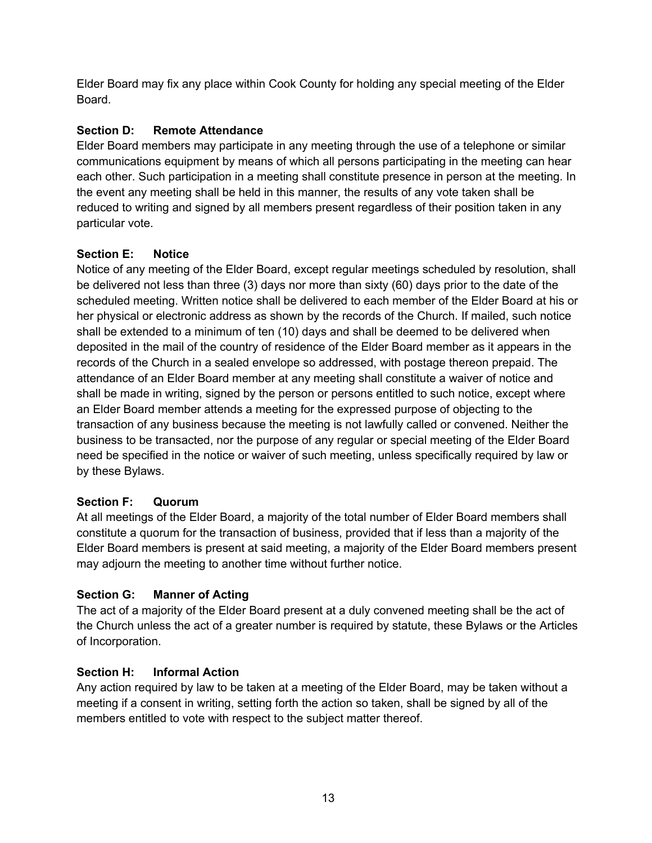Elder Board may fix any place within Cook County for holding any special meeting of the Elder Board.

# **Section D: Remote Attendance**

Elder Board members may participate in any meeting through the use of a telephone or similar communications equipment by means of which all persons participating in the meeting can hear each other. Such participation in a meeting shall constitute presence in person at the meeting. In the event any meeting shall be held in this manner, the results of any vote taken shall be reduced to writing and signed by all members present regardless of their position taken in any particular vote.

# **Section E: Notice**

Notice of any meeting of the Elder Board, except regular meetings scheduled by resolution, shall be delivered not less than three (3) days nor more than sixty (60) days prior to the date of the scheduled meeting. Written notice shall be delivered to each member of the Elder Board at his or her physical or electronic address as shown by the records of the Church. If mailed, such notice shall be extended to a minimum of ten (10) days and shall be deemed to be delivered when deposited in the mail of the country of residence of the Elder Board member as it appears in the records of the Church in a sealed envelope so addressed, with postage thereon prepaid. The attendance of an Elder Board member at any meeting shall constitute a waiver of notice and shall be made in writing, signed by the person or persons entitled to such notice, except where an Elder Board member attends a meeting for the expressed purpose of objecting to the transaction of any business because the meeting is not lawfully called or convened. Neither the business to be transacted, nor the purpose of any regular or special meeting of the Elder Board need be specified in the notice or waiver of such meeting, unless specifically required by law or by these Bylaws.

# **Section F: Quorum**

At all meetings of the Elder Board, a majority of the total number of Elder Board members shall constitute a quorum for the transaction of business, provided that if less than a majority of the Elder Board members is present at said meeting, a majority of the Elder Board members present may adjourn the meeting to another time without further notice.

# **Section G: Manner of Acting**

The act of a majority of the Elder Board present at a duly convened meeting shall be the act of the Church unless the act of a greater number is required by statute, these Bylaws or the Articles of Incorporation.

# **Section H: Informal Action**

Any action required by law to be taken at a meeting of the Elder Board, may be taken without a meeting if a consent in writing, setting forth the action so taken, shall be signed by all of the members entitled to vote with respect to the subject matter thereof.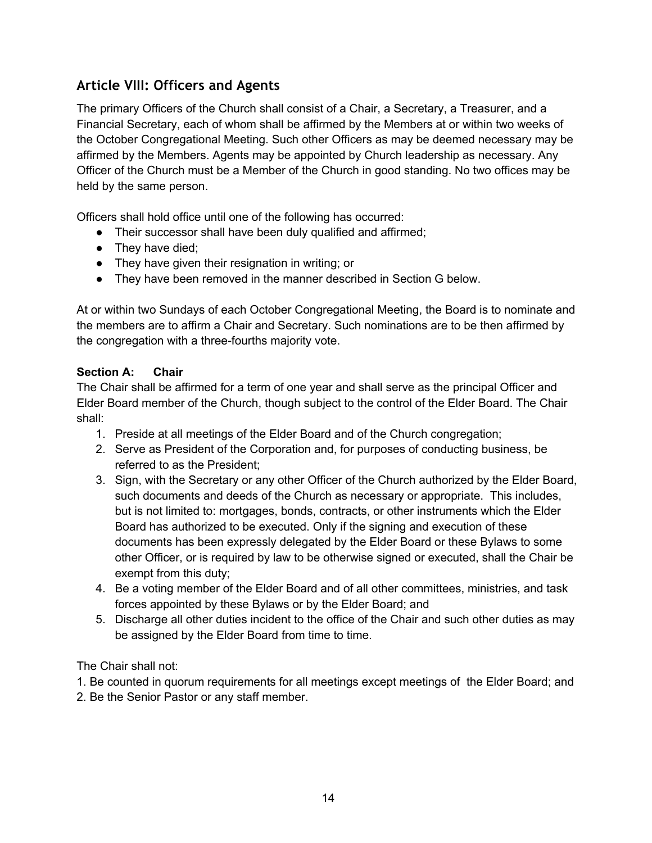# **Article VIII: Officers and Agents**

The primary Officers of the Church shall consist of a Chair, a Secretary, a Treasurer, and a Financial Secretary, each of whom shall be affirmed by the Members at or within two weeks of the October Congregational Meeting. Such other Officers as may be deemed necessary may be affirmed by the Members. Agents may be appointed by Church leadership as necessary. Any Officer of the Church must be a Member of the Church in good standing. No two offices may be held by the same person.

Officers shall hold office until one of the following has occurred:

- Their successor shall have been duly qualified and affirmed;
- They have died;
- They have given their resignation in writing; or
- They have been removed in the manner described in Section G below.

At or within two Sundays of each October Congregational Meeting, the Board is to nominate and the members are to affirm a Chair and Secretary. Such nominations are to be then affirmed by the congregation with a three-fourths majority vote.

#### **Section A: Chair**

The Chair shall be affirmed for a term of one year and shall serve as the principal Officer and Elder Board member of the Church, though subject to the control of the Elder Board. The Chair shall:

- 1. Preside at all meetings of the Elder Board and of the Church congregation;
- 2. Serve as President of the Corporation and, for purposes of conducting business, be referred to as the President;
- 3. Sign, with the Secretary or any other Officer of the Church authorized by the Elder Board, such documents and deeds of the Church as necessary or appropriate. This includes, but is not limited to: mortgages, bonds, contracts, or other instruments which the Elder Board has authorized to be executed. Only if the signing and execution of these documents has been expressly delegated by the Elder Board or these Bylaws to some other Officer, or is required by law to be otherwise signed or executed, shall the Chair be exempt from this duty;
- 4. Be a voting member of the Elder Board and of all other committees, ministries, and task forces appointed by these Bylaws or by the Elder Board; and
- 5. Discharge all other duties incident to the office of the Chair and such other duties as may be assigned by the Elder Board from time to time.

The Chair shall not:

- 1. Be counted in quorum requirements for all meetings except meetings of the Elder Board; and
- 2. Be the Senior Pastor or any staff member.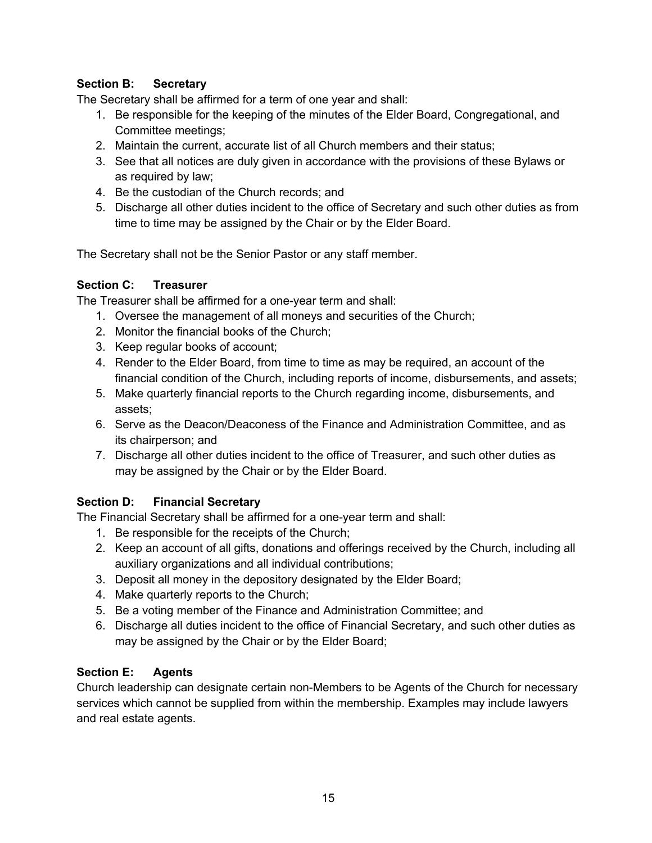### **Section B: Secretary**

The Secretary shall be affirmed for a term of one year and shall:

- 1. Be responsible for the keeping of the minutes of the Elder Board, Congregational, and Committee meetings;
- 2. Maintain the current, accurate list of all Church members and their status;
- 3. See that all notices are duly given in accordance with the provisions of these Bylaws or as required by law;
- 4. Be the custodian of the Church records; and
- 5. Discharge all other duties incident to the office of Secretary and such other duties as from time to time may be assigned by the Chair or by the Elder Board.

The Secretary shall not be the Senior Pastor or any staff member.

### **Section C: Treasurer**

The Treasurer shall be affirmed for a one-year term and shall:

- 1. Oversee the management of all moneys and securities of the Church;
- 2. Monitor the financial books of the Church;
- 3. Keep regular books of account;
- 4. Render to the Elder Board, from time to time as may be required, an account of the financial condition of the Church, including reports of income, disbursements, and assets;
- 5. Make quarterly financial reports to the Church regarding income, disbursements, and assets;
- 6. Serve as the Deacon/Deaconess of the Finance and Administration Committee, and as its chairperson; and
- 7. Discharge all other duties incident to the office of Treasurer, and such other duties as may be assigned by the Chair or by the Elder Board.

# **Section D: Financial Secretary**

The Financial Secretary shall be affirmed for a one-year term and shall:

- 1. Be responsible for the receipts of the Church;
- 2. Keep an account of all gifts, donations and offerings received by the Church, including all auxiliary organizations and all individual contributions;
- 3. Deposit all money in the depository designated by the Elder Board;
- 4. Make quarterly reports to the Church;
- 5. Be a voting member of the Finance and Administration Committee; and
- 6. Discharge all duties incident to the office of Financial Secretary, and such other duties as may be assigned by the Chair or by the Elder Board;

# **Section E: Agents**

Church leadership can designate certain non-Members to be Agents of the Church for necessary services which cannot be supplied from within the membership. Examples may include lawyers and real estate agents.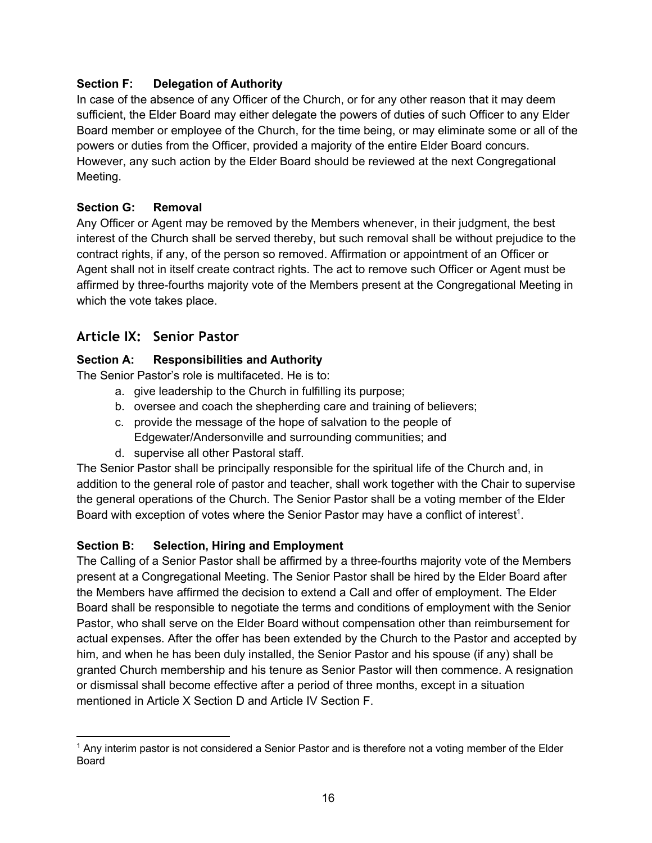### **Section F: Delegation of Authority**

In case of the absence of any Officer of the Church, or for any other reason that it may deem sufficient, the Elder Board may either delegate the powers of duties of such Officer to any Elder Board member or employee of the Church, for the time being, or may eliminate some or all of the powers or duties from the Officer, provided a majority of the entire Elder Board concurs. However, any such action by the Elder Board should be reviewed at the next Congregational Meeting.

### **Section G: Removal**

Any Officer or Agent may be removed by the Members whenever, in their judgment, the best interest of the Church shall be served thereby, but such removal shall be without prejudice to the contract rights, if any, of the person so removed. Affirmation or appointment of an Officer or Agent shall not in itself create contract rights. The act to remove such Officer or Agent must be affirmed by three-fourths majority vote of the Members present at the Congregational Meeting in which the vote takes place.

# **Article IX: Senior Pastor**

### **Section A: Responsibilities and Authority**

The Senior Pastor's role is multifaceted. He is to:

- a. give leadership to the Church in fulfilling its purpose;
- b. oversee and coach the shepherding care and training of believers;
- c. provide the message of the hope of salvation to the people of Edgewater/Andersonville and surrounding communities; and
- d. supervise all other Pastoral staff.

The Senior Pastor shall be principally responsible for the spiritual life of the Church and, in addition to the general role of pastor and teacher, shall work together with the Chair to supervise the general operations of the Church. The Senior Pastor shall be a voting member of the Elder Board with exception of votes where the Senior Pastor may have a conflict of interest<sup>1</sup>.

### **Section B: Selection, Hiring and Employment**

The Calling of a Senior Pastor shall be affirmed by a three-fourths majority vote of the Members present at a Congregational Meeting. The Senior Pastor shall be hired by the Elder Board after the Members have affirmed the decision to extend a Call and offer of employment. The Elder Board shall be responsible to negotiate the terms and conditions of employment with the Senior Pastor, who shall serve on the Elder Board without compensation other than reimbursement for actual expenses. After the offer has been extended by the Church to the Pastor and accepted by him, and when he has been duly installed, the Senior Pastor and his spouse (if any) shall be granted Church membership and his tenure as Senior Pastor will then commence. A resignation or dismissal shall become effective after a period of three months, except in a situation mentioned in Article X Section D and Article IV Section F.

<sup>1</sup> Any interim pastor is not considered a Senior Pastor and is therefore not a voting member of the Elder **Board**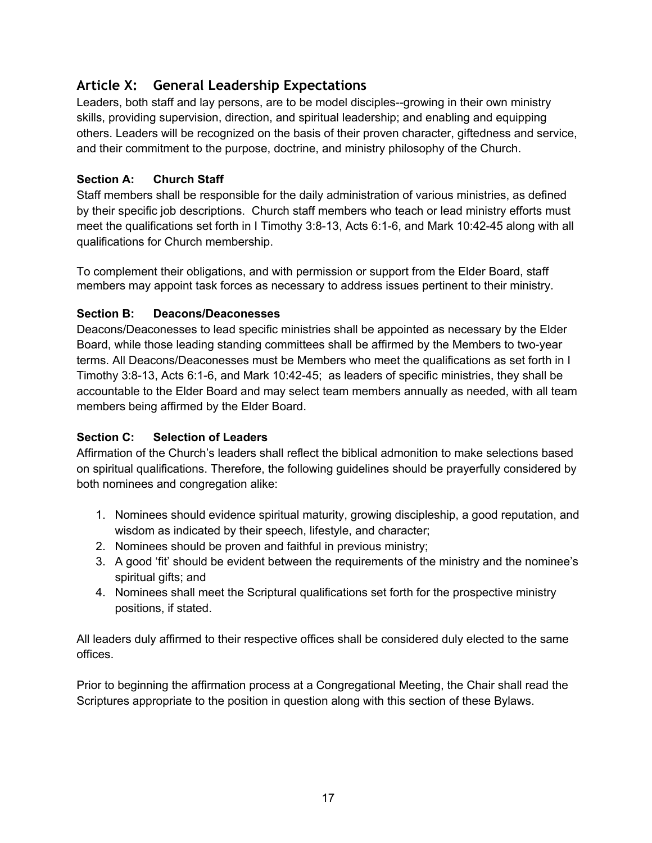# **Article X: General Leadership Expectations**

Leaders, both staff and lay persons, are to be model disciples--growing in their own ministry skills, providing supervision, direction, and spiritual leadership; and enabling and equipping others. Leaders will be recognized on the basis of their proven character, giftedness and service, and their commitment to the purpose, doctrine, and ministry philosophy of the Church.

## **Section A: Church Staff**

Staff members shall be responsible for the daily administration of various ministries, as defined by their specific job descriptions. Church staff members who teach or lead ministry efforts must meet the qualifications set forth in I Timothy 3:8-13, Acts 6:1-6, and Mark 10:42-45 along with all qualifications for Church membership.

To complement their obligations, and with permission or support from the Elder Board, staff members may appoint task forces as necessary to address issues pertinent to their ministry.

### **Section B: Deacons/Deaconesses**

Deacons/Deaconesses to lead specific ministries shall be appointed as necessary by the Elder Board, while those leading standing committees shall be affirmed by the Members to two-year terms. All Deacons/Deaconesses must be Members who meet the qualifications as set forth in I Timothy 3:8-13, Acts 6:1-6, and Mark 10:42-45; as leaders of specific ministries, they shall be accountable to the Elder Board and may select team members annually as needed, with all team members being affirmed by the Elder Board.

# **Section C: Selection of Leaders**

Affirmation of the Church's leaders shall reflect the biblical admonition to make selections based on spiritual qualifications. Therefore, the following guidelines should be prayerfully considered by both nominees and congregation alike:

- 1. Nominees should evidence spiritual maturity, growing discipleship, a good reputation, and wisdom as indicated by their speech, lifestyle, and character;
- 2. Nominees should be proven and faithful in previous ministry;
- 3. A good 'fit' should be evident between the requirements of the ministry and the nominee's spiritual gifts; and
- 4. Nominees shall meet the Scriptural qualifications set forth for the prospective ministry positions, if stated.

All leaders duly affirmed to their respective offices shall be considered duly elected to the same offices.

Prior to beginning the affirmation process at a Congregational Meeting, the Chair shall read the Scriptures appropriate to the position in question along with this section of these Bylaws.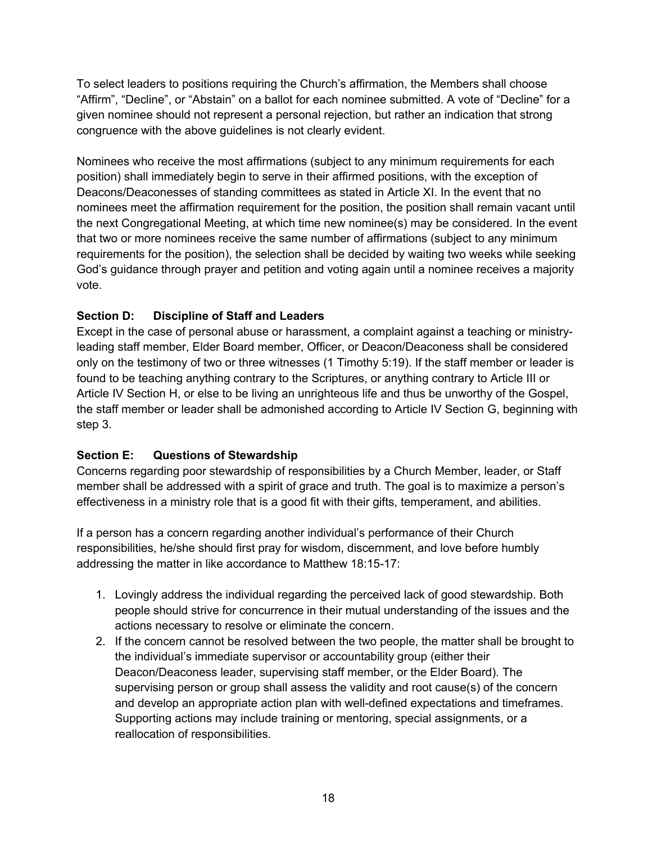To select leaders to positions requiring the Church's affirmation, the Members shall choose "Affirm", "Decline", or "Abstain" on a ballot for each nominee submitted. A vote of "Decline" for a given nominee should not represent a personal rejection, but rather an indication that strong congruence with the above guidelines is not clearly evident.

Nominees who receive the most affirmations (subject to any minimum requirements for each position) shall immediately begin to serve in their affirmed positions, with the exception of Deacons/Deaconesses of standing committees as stated in Article XI. In the event that no nominees meet the affirmation requirement for the position, the position shall remain vacant until the next Congregational Meeting, at which time new nominee(s) may be considered. In the event that two or more nominees receive the same number of affirmations (subject to any minimum requirements for the position), the selection shall be decided by waiting two weeks while seeking God's guidance through prayer and petition and voting again until a nominee receives a majority vote.

# **Section D: Discipline of Staff and Leaders**

Except in the case of personal abuse or harassment, a complaint against a teaching or ministryleading staff member, Elder Board member, Officer, or Deacon/Deaconess shall be considered only on the testimony of two or three witnesses (1 Timothy 5:19). If the staff member or leader is found to be teaching anything contrary to the Scriptures, or anything contrary to Article III or Article IV Section H, or else to be living an unrighteous life and thus be unworthy of the Gospel, the staff member or leader shall be admonished according to Article IV Section G, beginning with step 3.

# **Section E: Questions of Stewardship**

Concerns regarding poor stewardship of responsibilities by a Church Member, leader, or Staff member shall be addressed with a spirit of grace and truth. The goal is to maximize a person's effectiveness in a ministry role that is a good fit with their gifts, temperament, and abilities.

If a person has a concern regarding another individual's performance of their Church responsibilities, he/she should first pray for wisdom, discernment, and love before humbly addressing the matter in like accordance to Matthew 18:15-17:

- 1. Lovingly address the individual regarding the perceived lack of good stewardship. Both people should strive for concurrence in their mutual understanding of the issues and the actions necessary to resolve or eliminate the concern.
- 2. If the concern cannot be resolved between the two people, the matter shall be brought to the individual's immediate supervisor or accountability group (either their Deacon/Deaconess leader, supervising staff member, or the Elder Board). The supervising person or group shall assess the validity and root cause(s) of the concern and develop an appropriate action plan with well-defined expectations and timeframes. Supporting actions may include training or mentoring, special assignments, or a reallocation of responsibilities.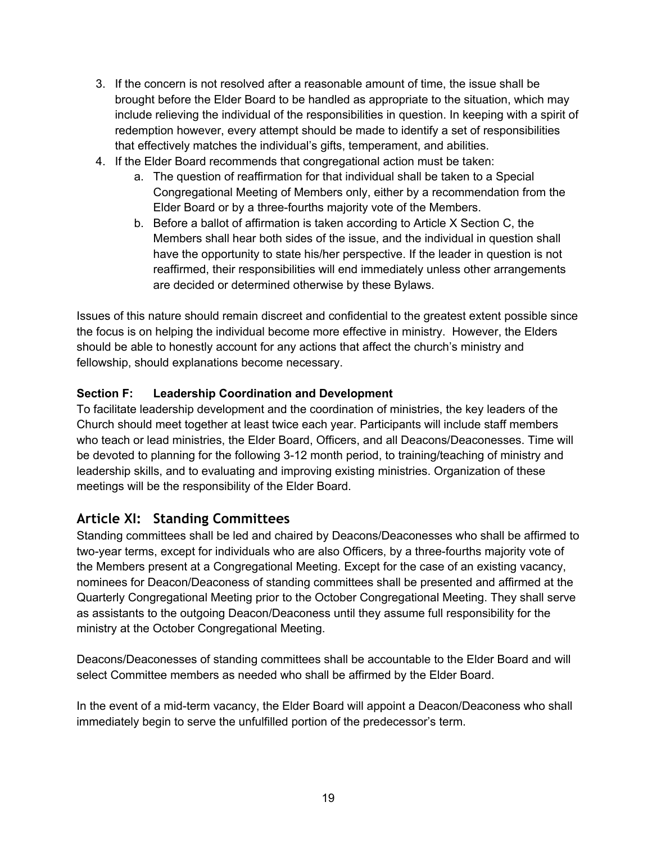- 3. If the concern is not resolved after a reasonable amount of time, the issue shall be brought before the Elder Board to be handled as appropriate to the situation, which may include relieving the individual of the responsibilities in question. In keeping with a spirit of redemption however, every attempt should be made to identify a set of responsibilities that effectively matches the individual's gifts, temperament, and abilities.
- 4. If the Elder Board recommends that congregational action must be taken:
	- a. The question of reaffirmation for that individual shall be taken to a Special Congregational Meeting of Members only, either by a recommendation from the Elder Board or by a three-fourths majority vote of the Members.
	- b. Before a ballot of affirmation is taken according to Article X Section C, the Members shall hear both sides of the issue, and the individual in question shall have the opportunity to state his/her perspective. If the leader in question is not reaffirmed, their responsibilities will end immediately unless other arrangements are decided or determined otherwise by these Bylaws.

Issues of this nature should remain discreet and confidential to the greatest extent possible since the focus is on helping the individual become more effective in ministry. However, the Elders should be able to honestly account for any actions that affect the church's ministry and fellowship, should explanations become necessary.

### **Section F: Leadership Coordination and Development**

To facilitate leadership development and the coordination of ministries, the key leaders of the Church should meet together at least twice each year. Participants will include staff members who teach or lead ministries, the Elder Board, Officers, and all Deacons/Deaconesses. Time will be devoted to planning for the following 3-12 month period, to training/teaching of ministry and leadership skills, and to evaluating and improving existing ministries. Organization of these meetings will be the responsibility of the Elder Board.

# **Article XI: Standing Committees**

Standing committees shall be led and chaired by Deacons/Deaconesses who shall be affirmed to two-year terms, except for individuals who are also Officers, by a three-fourths majority vote of the Members present at a Congregational Meeting. Except for the case of an existing vacancy, nominees for Deacon/Deaconess of standing committees shall be presented and affirmed at the Quarterly Congregational Meeting prior to the October Congregational Meeting. They shall serve as assistants to the outgoing Deacon/Deaconess until they assume full responsibility for the ministry at the October Congregational Meeting.

Deacons/Deaconesses of standing committees shall be accountable to the Elder Board and will select Committee members as needed who shall be affirmed by the Elder Board.

In the event of a mid-term vacancy, the Elder Board will appoint a Deacon/Deaconess who shall immediately begin to serve the unfulfilled portion of the predecessor's term.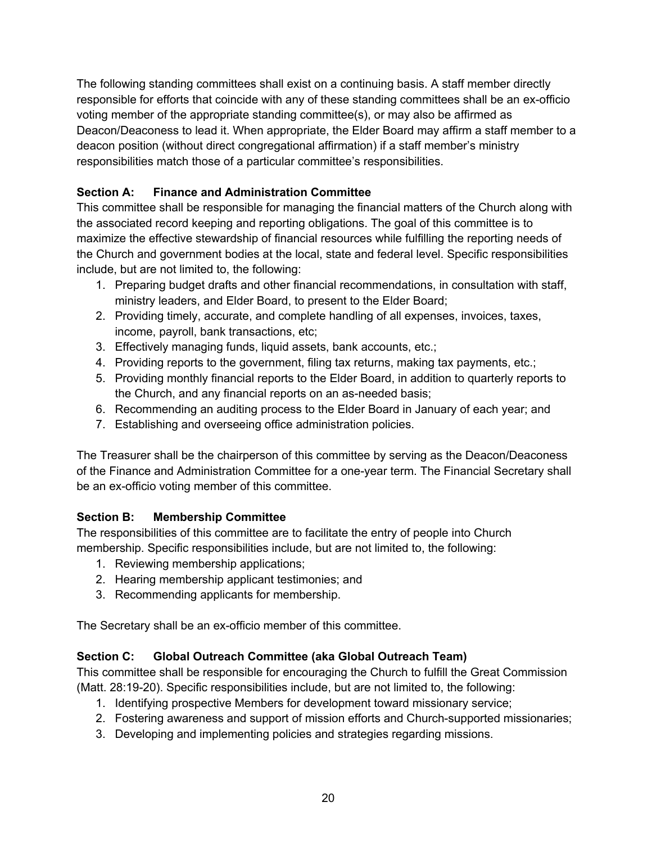The following standing committees shall exist on a continuing basis. A staff member directly responsible for efforts that coincide with any of these standing committees shall be an ex-officio voting member of the appropriate standing committee(s), or may also be affirmed as Deacon/Deaconess to lead it. When appropriate, the Elder Board may affirm a staff member to a deacon position (without direct congregational affirmation) if a staff member's ministry responsibilities match those of a particular committee's responsibilities.

# **Section A: Finance and Administration Committee**

This committee shall be responsible for managing the financial matters of the Church along with the associated record keeping and reporting obligations. The goal of this committee is to maximize the effective stewardship of financial resources while fulfilling the reporting needs of the Church and government bodies at the local, state and federal level. Specific responsibilities include, but are not limited to, the following:

- 1. Preparing budget drafts and other financial recommendations, in consultation with staff, ministry leaders, and Elder Board, to present to the Elder Board;
- 2. Providing timely, accurate, and complete handling of all expenses, invoices, taxes, income, payroll, bank transactions, etc;
- 3. Effectively managing funds, liquid assets, bank accounts, etc.;
- 4. Providing reports to the government, filing tax returns, making tax payments, etc.;
- 5. Providing monthly financial reports to the Elder Board, in addition to quarterly reports to the Church, and any financial reports on an as-needed basis;
- 6. Recommending an auditing process to the Elder Board in January of each year; and
- 7. Establishing and overseeing office administration policies.

The Treasurer shall be the chairperson of this committee by serving as the Deacon/Deaconess of the Finance and Administration Committee for a one-year term. The Financial Secretary shall be an ex-officio voting member of this committee.

# **Section B: Membership Committee**

The responsibilities of this committee are to facilitate the entry of people into Church membership. Specific responsibilities include, but are not limited to, the following:

- 1. Reviewing membership applications;
- 2. Hearing membership applicant testimonies; and
- 3. Recommending applicants for membership.

The Secretary shall be an ex-officio member of this committee.

# **Section C: Global Outreach Committee (aka Global Outreach Team)**

This committee shall be responsible for encouraging the Church to fulfill the Great Commission (Matt. 28:19-20). Specific responsibilities include, but are not limited to, the following:

- 1. Identifying prospective Members for development toward missionary service;
- 2. Fostering awareness and support of mission efforts and Church-supported missionaries;
- 3. Developing and implementing policies and strategies regarding missions.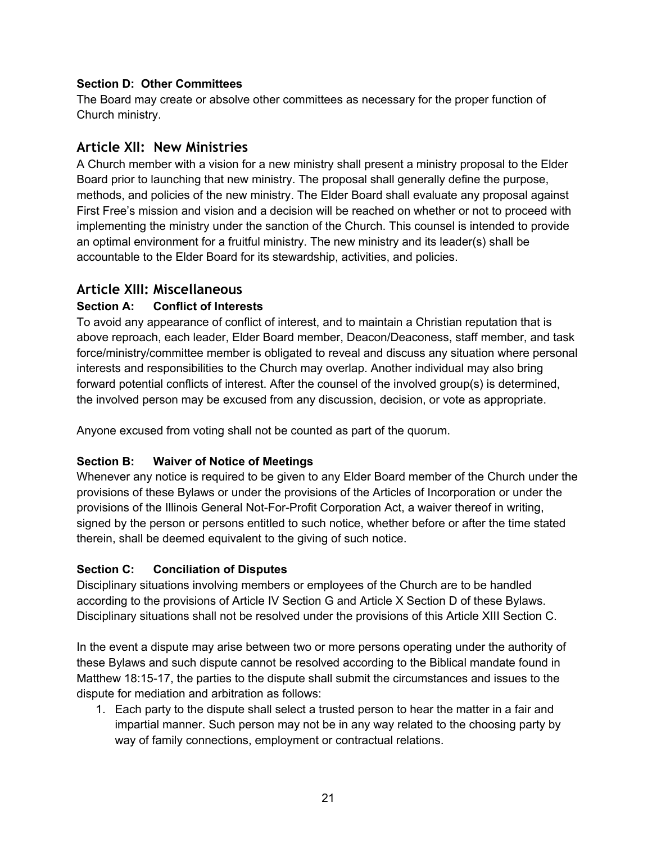### **Section D: Other Committees**

The Board may create or absolve other committees as necessary for the proper function of Church ministry.

# **Article XII: New Ministries**

A Church member with a vision for a new ministry shall present a ministry proposal to the Elder Board prior to launching that new ministry. The proposal shall generally define the purpose, methods, and policies of the new ministry. The Elder Board shall evaluate any proposal against First Free's mission and vision and a decision will be reached on whether or not to proceed with implementing the ministry under the sanction of the Church. This counsel is intended to provide an optimal environment for a fruitful ministry. The new ministry and its leader(s) shall be accountable to the Elder Board for its stewardship, activities, and policies.

# **Article XIII: Miscellaneous**

### **Section A: Conflict of Interests**

To avoid any appearance of conflict of interest, and to maintain a Christian reputation that is above reproach, each leader, Elder Board member, Deacon/Deaconess, staff member, and task force/ministry/committee member is obligated to reveal and discuss any situation where personal interests and responsibilities to the Church may overlap. Another individual may also bring forward potential conflicts of interest. After the counsel of the involved group(s) is determined, the involved person may be excused from any discussion, decision, or vote as appropriate.

Anyone excused from voting shall not be counted as part of the quorum.

### **Section B: Waiver of Notice of Meetings**

Whenever any notice is required to be given to any Elder Board member of the Church under the provisions of these Bylaws or under the provisions of the Articles of Incorporation or under the provisions of the Illinois General Not-For-Profit Corporation Act, a waiver thereof in writing, signed by the person or persons entitled to such notice, whether before or after the time stated therein, shall be deemed equivalent to the giving of such notice.

### **Section C: Conciliation of Disputes**

Disciplinary situations involving members or employees of the Church are to be handled according to the provisions of Article IV Section G and Article X Section D of these Bylaws. Disciplinary situations shall not be resolved under the provisions of this Article XIII Section C.

In the event a dispute may arise between two or more persons operating under the authority of these Bylaws and such dispute cannot be resolved according to the Biblical mandate found in Matthew 18:15-17, the parties to the dispute shall submit the circumstances and issues to the dispute for mediation and arbitration as follows:

1. Each party to the dispute shall select a trusted person to hear the matter in a fair and impartial manner. Such person may not be in any way related to the choosing party by way of family connections, employment or contractual relations.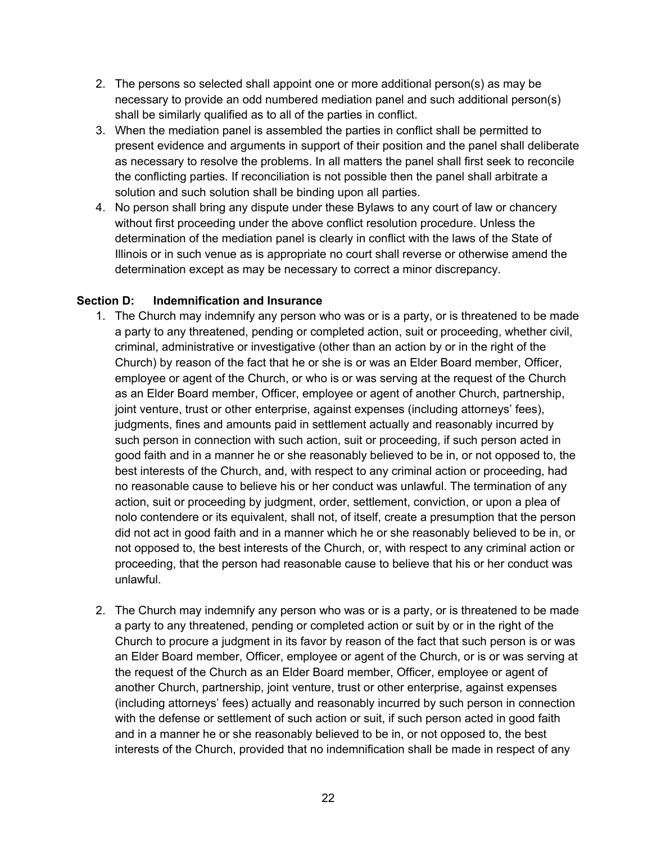- 2. The persons so selected shall appoint one or more additional person(s) as may be necessary to provide an odd numbered mediation panel and such additional person(s) shall be similarly qualified as to all of the parties in conflict.
- 3. When the mediation panel is assembled the parties in conflict shall be permitted to present evidence and arguments in support of their position and the panel shall deliberate as necessary to resolve the problems. In all matters the panel shall first seek to reconcile the conflicting parties. If reconciliation is not possible then the panel shall arbitrate a solution and such solution shall be binding upon all parties.
- 4. No person shall bring any dispute under these Bylaws to any court of law or chancery without first proceeding under the above conflict resolution procedure. Unless the determination of the mediation panel is clearly in conflict with the laws of the State of Illinois or in such venue as is appropriate no court shall reverse or otherwise amend the determination except as may be necessary to correct a minor discrepancy.

#### **Section D: Indemnification and Insurance**

- 1. The Church may indemnify any person who was or is a party, or is threatened to be made a party to any threatened, pending or completed action, suit or proceeding, whether civil, criminal, administrative or investigative (other than an action by or in the right of the Church) by reason of the fact that he or she is or was an Elder Board member, Officer, employee or agent of the Church, or who is or was serving at the request of the Church as an Elder Board member, Officer, employee or agent of another Church, partnership, joint venture, trust or other enterprise, against expenses (including attorneys' fees), judgments, fines and amounts paid in settlement actually and reasonably incurred by such person in connection with such action, suit or proceeding, if such person acted in good faith and in a manner he or she reasonably believed to be in, or not opposed to, the best interests of the Church, and, with respect to any criminal action or proceeding, had no reasonable cause to believe his or her conduct was unlawful. The termination of any action, suit or proceeding by judgment, order, settlement, conviction, or upon a plea of nolo contendere or its equivalent, shall not, of itself, create a presumption that the person did not act in good faith and in a manner which he or she reasonably believed to be in, or not opposed to, the best interests of the Church, or, with respect to any criminal action or proceeding, that the person had reasonable cause to believe that his or her conduct was unlawful.
- 2. The Church may indemnify any person who was or is a party, or is threatened to be made a party to any threatened, pending or completed action or suit by or in the right of the Church to procure a judgment in its favor by reason of the fact that such person is or was an Elder Board member, Officer, employee or agent of the Church, or is or was serving at the request of the Church as an Elder Board member, Officer, employee or agent of another Church, partnership, joint venture, trust or other enterprise, against expenses (including attorneys' fees) actually and reasonably incurred by such person in connection with the defense or settlement of such action or suit, if such person acted in good faith and in a manner he or she reasonably believed to be in, or not opposed to, the best interests of the Church, provided that no indemnification shall be made in respect of any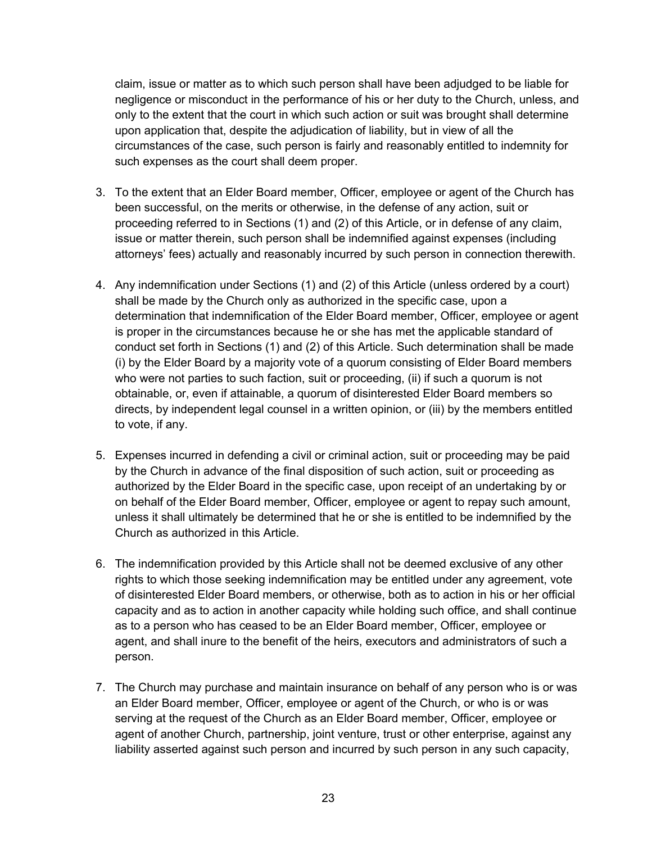claim, issue or matter as to which such person shall have been adjudged to be liable for negligence or misconduct in the performance of his or her duty to the Church, unless, and only to the extent that the court in which such action or suit was brought shall determine upon application that, despite the adjudication of liability, but in view of all the circumstances of the case, such person is fairly and reasonably entitled to indemnity for such expenses as the court shall deem proper.

- 3. To the extent that an Elder Board member, Officer, employee or agent of the Church has been successful, on the merits or otherwise, in the defense of any action, suit or proceeding referred to in Sections (1) and (2) of this Article, or in defense of any claim, issue or matter therein, such person shall be indemnified against expenses (including attorneys' fees) actually and reasonably incurred by such person in connection therewith.
- 4. Any indemnification under Sections (1) and (2) of this Article (unless ordered by a court) shall be made by the Church only as authorized in the specific case, upon a determination that indemnification of the Elder Board member, Officer, employee or agent is proper in the circumstances because he or she has met the applicable standard of conduct set forth in Sections (1) and (2) of this Article. Such determination shall be made (i) by the Elder Board by a majority vote of a quorum consisting of Elder Board members who were not parties to such faction, suit or proceeding, (ii) if such a quorum is not obtainable, or, even if attainable, a quorum of disinterested Elder Board members so directs, by independent legal counsel in a written opinion, or (iii) by the members entitled to vote, if any.
- 5. Expenses incurred in defending a civil or criminal action, suit or proceeding may be paid by the Church in advance of the final disposition of such action, suit or proceeding as authorized by the Elder Board in the specific case, upon receipt of an undertaking by or on behalf of the Elder Board member, Officer, employee or agent to repay such amount, unless it shall ultimately be determined that he or she is entitled to be indemnified by the Church as authorized in this Article.
- 6. The indemnification provided by this Article shall not be deemed exclusive of any other rights to which those seeking indemnification may be entitled under any agreement, vote of disinterested Elder Board members, or otherwise, both as to action in his or her official capacity and as to action in another capacity while holding such office, and shall continue as to a person who has ceased to be an Elder Board member, Officer, employee or agent, and shall inure to the benefit of the heirs, executors and administrators of such a person.
- 7. The Church may purchase and maintain insurance on behalf of any person who is or was an Elder Board member, Officer, employee or agent of the Church, or who is or was serving at the request of the Church as an Elder Board member, Officer, employee or agent of another Church, partnership, joint venture, trust or other enterprise, against any liability asserted against such person and incurred by such person in any such capacity,